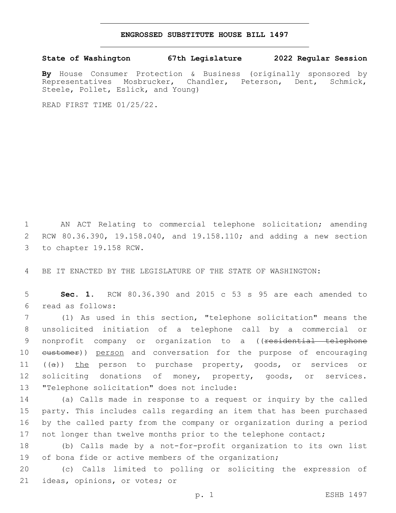## **ENGROSSED SUBSTITUTE HOUSE BILL 1497**

## **State of Washington 67th Legislature 2022 Regular Session**

**By** House Consumer Protection & Business (originally sponsored by Representatives Mosbrucker, Chandler, Peterson, Dent, Schmick, Steele, Pollet, Eslick, and Young)

READ FIRST TIME 01/25/22.

1 AN ACT Relating to commercial telephone solicitation; amending 2 RCW 80.36.390, 19.158.040, and 19.158.110; and adding a new section 3 to chapter 19.158 RCW.

4 BE IT ENACTED BY THE LEGISLATURE OF THE STATE OF WASHINGTON:

5 **Sec. 1.** RCW 80.36.390 and 2015 c 53 s 95 are each amended to read as follows:6

7 (1) As used in this section, "telephone solicitation" means the 8 unsolicited initiation of a telephone call by a commercial or 9 nonprofit company or organization to a ((<del>residential telephone</del> 10 eustomer)) person and conversation for the purpose of encouraging 11 ((a)) the person to purchase property, goods, or services or 12 soliciting donations of money, property, goods, or services. 13 "Telephone solicitation" does not include:

 (a) Calls made in response to a request or inquiry by the called party. This includes calls regarding an item that has been purchased by the called party from the company or organization during a period 17 not longer than twelve months prior to the telephone contact;

18 (b) Calls made by a not-for-profit organization to its own list 19 of bona fide or active members of the organization;

20 (c) Calls limited to polling or soliciting the expression of 21 ideas, opinions, or votes; or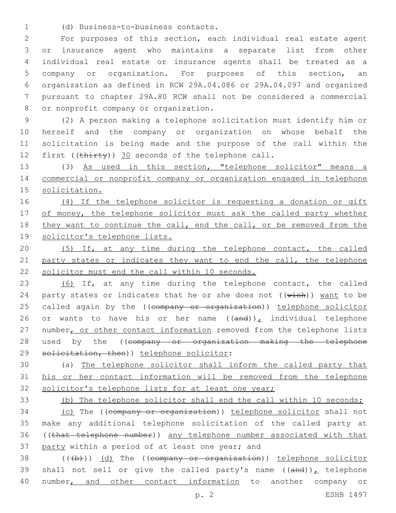(d) Business-to-business contacts.1

 For purposes of this section, each individual real estate agent or insurance agent who maintains a separate list from other individual real estate or insurance agents shall be treated as a company or organization. For purposes of this section, an organization as defined in RCW 29A.04.086 or 29A.04.097 and organized pursuant to chapter 29A.80 RCW shall not be considered a commercial 8 or nonprofit company or organization.

 (2) A person making a telephone solicitation must identify him or herself and the company or organization on whose behalf the solicitation is being made and the purpose of the call within the 12 first ((thirty)) 30 seconds of the telephone call.

13 (3) As used in this section, "telephone solicitor" means a 14 commercial or nonprofit company or organization engaged in telephone 15 solicitation.

16 (4) If the telephone solicitor is requesting a donation or gift 17 of money, the telephone solicitor must ask the called party whether 18 they want to continue the call, end the call, or be removed from the 19 solicitor's telephone lists.

20 (5) If, at any time during the telephone contact, the called 21 party states or indicates they want to end the call, the telephone 22 solicitor must end the call within 10 seconds.

23 (6) If, at any time during the telephone contact, the called 24 party states or indicates that he or she does not  $((\text{wish}))$  want to be 25 called again by the ((company or organization)) telephone solicitor 26 or wants to have his or her name  $((and))_L$  individual telephone 27 number, or other contact information removed from the telephone lists 28 used by the ((company or organization making the telephone 29 solicitation, then)) telephone solicitor:

30 (a) The telephone solicitor shall inform the called party that 31 his or her contact information will be removed from the telephone 32 solicitor's telephone lists for at least one year;

33 (b) The telephone solicitor shall end the call within 10 seconds;

 (c) The ((company or organization)) telephone solicitor shall not make any additional telephone solicitation of the called party at ((that telephone number)) any telephone number associated with that 37 party within a period of at least one year; and

38 (((b))) (d) The ((company or organization)) telephone solicitor 39 shall not sell or give the called party's name  $((and))_{L}$  telephone 40 number, and other contact information to another company or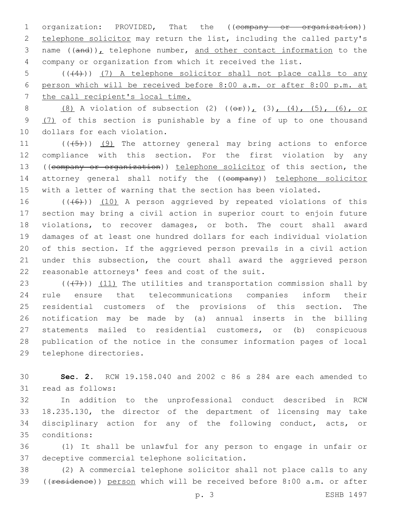1 organization: PROVIDED, That the ((company or organization)) 2 telephone solicitor may return the list, including the called party's 3 name  $((and))_L$  telephone number, and other contact information to the 4 company or organization from which it received the list.

5 (( $(4)$ )) (7) A telephone solicitor shall not place calls to any 6 person which will be received before 8:00 a.m. or after 8:00 p.m. at 7 the call recipient's local time.

8 (8) A violation of subsection (2)  $((\theta \hat{r}))_L$  (3), (4), (5), (6), or 9 (7) of this section is punishable by a fine of up to one thousand 10 dollars for each violation.

 $((+5+))$  (9) The attorney general may bring actions to enforce compliance with this section. For the first violation by any ((company or organization)) telephone solicitor of this section, the 14 attorney general shall notify the ((company)) telephone solicitor with a letter of warning that the section has been violated.

 $((+6+))$   $(10)$  A person aggrieved by repeated violations of this section may bring a civil action in superior court to enjoin future violations, to recover damages, or both. The court shall award damages of at least one hundred dollars for each individual violation of this section. If the aggrieved person prevails in a civil action under this subsection, the court shall award the aggrieved person 22 reasonable attorneys' fees and cost of the suit.

 $((+7+))$   $(11)$  The utilities and transportation commission shall by rule ensure that telecommunications companies inform their residential customers of the provisions of this section. The notification may be made by (a) annual inserts in the billing statements mailed to residential customers, or (b) conspicuous publication of the notice in the consumer information pages of local 29 telephone directories.

30 **Sec. 2.** RCW 19.158.040 and 2002 c 86 s 284 are each amended to 31 read as follows:

 In addition to the unprofessional conduct described in RCW 18.235.130, the director of the department of licensing may take disciplinary action for any of the following conduct, acts, or conditions:35

36 (1) It shall be unlawful for any person to engage in unfair or 37 deceptive commercial telephone solicitation.

38 (2) A commercial telephone solicitor shall not place calls to any 39 ((residence)) person which will be received before 8:00 a.m. or after

p. 3 ESHB 1497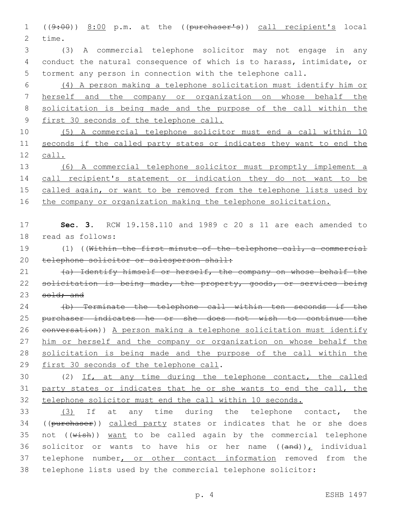((9:00)) 8:00 p.m. at the ((purchaser's)) call recipient's local 2 time.

 (3) A commercial telephone solicitor may not engage in any conduct the natural consequence of which is to harass, intimidate, or torment any person in connection with the telephone call.

 (4) A person making a telephone solicitation must identify him or herself and the company or organization on whose behalf the solicitation is being made and the purpose of the call within the first 30 seconds of the telephone call.

 (5) A commercial telephone solicitor must end a call within 10 seconds if the called party states or indicates they want to end the call.

 (6) A commercial telephone solicitor must promptly implement a 14 call recipient's statement or indication they do not want to be 15 called again, or want to be removed from the telephone lists used by 16 the company or organization making the telephone solicitation.

 **Sec. 3.** RCW 19.158.110 and 1989 c 20 s 11 are each amended to 18 read as follows:

 (1) ((Within the first minute of the telephone call, a commercial 20 telephone solicitor or salesperson shall:

21 (a) Identify himself or herself, the company on whose behalf the 22 solicitation is being made, the property, goods, or services being 23 sold; and

 (b) Terminate the telephone call within ten seconds if the purchaser indicates he or she does not wish to continue the conversation)) A person making a telephone solicitation must identify him or herself and the company or organization on whose behalf the solicitation is being made and the purpose of the call within the 29 first 30 seconds of the telephone call.

 (2) If, at any time during the telephone contact, the called party states or indicates that he or she wants to end the call, the telephone solicitor must end the call within 10 seconds.

 (3) If at any time during the telephone contact, the 34 ((purchaser)) called party states or indicates that he or she does 35 not  $((\text{wish}))$  want to be called again by the commercial telephone 36 solicitor or wants to have his or her name  $((and))_L$  individual 37 telephone number, or other contact information removed from the telephone lists used by the commercial telephone solicitor: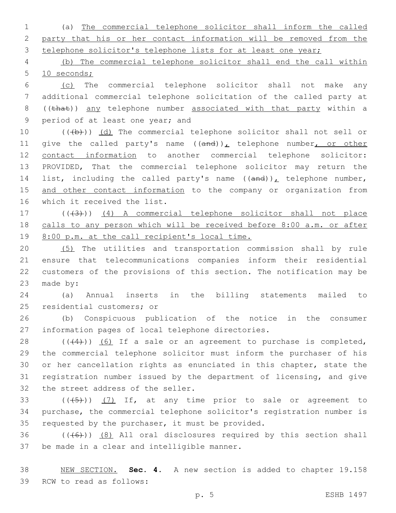1 (a) The commercial telephone solicitor shall inform the called 2 party that his or her contact information will be removed from the 3 telephone solicitor's telephone lists for at least one year;

4 (b) The commercial telephone solicitor shall end the call within 5 10 seconds;

6 (c) The commercial telephone solicitor shall not make any 7 additional commercial telephone solicitation of the called party at 8 ((that)) any telephone number associated with that party within a 9 period of at least one year; and

10 (((b))) (d) The commercial telephone solicitor shall not sell or 11 give the called party's name  $((and))_L$  telephone number, or other 12 contact information to another commercial telephone solicitor: 13 PROVIDED, That the commercial telephone solicitor may return the 14 list, including the called party's name  $((and))_L$  telephone number, 15 and other contact information to the company or organization from 16 which it received the list.

17 (((43))) (4) A commercial telephone solicitor shall not place 18 calls to any person which will be received before 8:00 a.m. or after 19 8:00 p.m. at the call recipient's local time.

 (5) The utilities and transportation commission shall by rule ensure that telecommunications companies inform their residential customers of the provisions of this section. The notification may be 23 made by:

24 (a) Annual inserts in the billing statements mailed to 25 residential customers; or

26 (b) Conspicuous publication of the notice in the consumer 27 information pages of local telephone directories.

 ( $(44)$ ))  $(6)$  If a sale or an agreement to purchase is completed, the commercial telephone solicitor must inform the purchaser of his or her cancellation rights as enunciated in this chapter, state the registration number issued by the department of licensing, and give 32 the street address of the seller.

33  $((+5+))$   $(7)$  If, at any time prior to sale or agreement to 34 purchase, the commercial telephone solicitor's registration number is 35 requested by the purchaser, it must be provided.

 $36$  (( $(46)$ )) (8) All oral disclosures required by this section shall 37 be made in a clear and intelligible manner.

38 NEW SECTION. **Sec. 4.** A new section is added to chapter 19.158 39 RCW to read as follows: